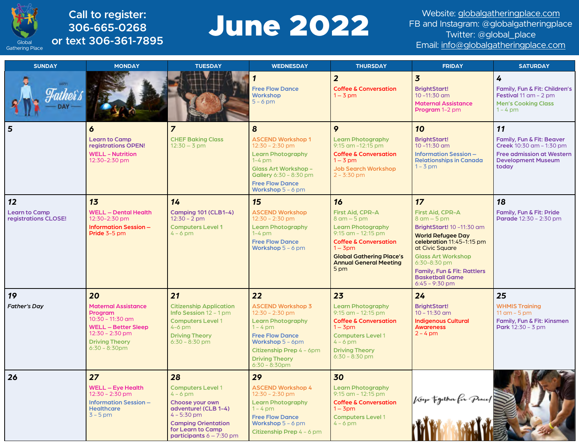

**306-665-0268 or text 306-361-7895**

# Call to register:<br>306-665-0268<br>**Call to register: June 2022**

Website: [globalgatheringplace.com](http://globalgatheringplace.com) FB and Instagram: @globalgatheringplace Twitter: @global\_place Global **OF TEXT 3U0-301-7895**<br>ering Place **CF TEXT 3U0-301-7895** 

| <b>SUNDAY</b>                                | <b>MONDAY</b>                                     | <b>TUESDAY</b>                                             | <b>WEDNESDAY</b>                                        | <b>THURSDAY</b>                                                  | <b>FRIDAY</b>                                                                                                     | <b>SATURDAY</b>                                                                                         |
|----------------------------------------------|---------------------------------------------------|------------------------------------------------------------|---------------------------------------------------------|------------------------------------------------------------------|-------------------------------------------------------------------------------------------------------------------|---------------------------------------------------------------------------------------------------------|
| nthos s                                      |                                                   |                                                            | <b>Free Flow Dance</b><br><b>Workshop</b><br>$5 - 6$ pm | $\overline{2}$<br><b>Coffee &amp; Conversation</b><br>$1 - 3$ pm | $\overline{\mathbf{3}}$<br><b>BrightStart!</b><br>$10 - 11:30$ am<br><b>Maternal Assistance</b><br>Program 1-2 pm | 4<br>Family, Fun & Fit: Children's<br>Festival 11 am - 2 pm<br><b>Men's Cooking Class</b><br>$1 - 4$ pm |
| 5                                            | 6                                                 | $\overline{z}$                                             | 8                                                       | 9                                                                | 10                                                                                                                | 11                                                                                                      |
|                                              | <b>Learn to Camp</b><br>registrations OPEN!       | <b>CHEF Baking Class</b><br>$12:30 - 3$ pm                 | <b>ASCEND Workshop 1</b><br>$12:30 - 2:30$ pm           | <b>Learn Photography</b><br>$9:15$ am $-12:15$ pm                | <b>BrightStart!</b><br>$10 - 11:30$ am                                                                            | Family, Fun & Fit: Beaver<br>Creek 10:30 am - 1:30 pm                                                   |
|                                              | <b>WELL - Nutrition</b><br>12:30-2:30 pm          |                                                            | <b>Learn Photography</b><br>$1-4$ pm                    | <b>Coffee &amp; Conversation</b><br>$1 - 3$ pm                   | <b>Information Session -</b><br><b>Relationships in Canada</b>                                                    | <b>Free admission at Western</b><br><b>Development Museum</b>                                           |
|                                              |                                                   |                                                            | <b>Glass Art Workshop -</b><br>Gallery 6:30 - 8:30 pm   | <b>Job Search Workshop</b><br>$2 - 3:30$ pm                      | $1 - 3$ pm                                                                                                        | today                                                                                                   |
|                                              |                                                   |                                                            | <b>Free Flow Dance</b><br>Workshop $5 - 6$ pm           |                                                                  |                                                                                                                   |                                                                                                         |
| 12                                           | 13                                                | 14                                                         | 15                                                      | 16                                                               | 17                                                                                                                | 18                                                                                                      |
| <b>Learn to Camp</b><br>registrations CLOSE! | <b>WELL - Dental Health</b><br>12:30-2:30 pm      | <b>Camping 101 (CLB1-4)</b><br>$12:30 - 2$ pm              | <b>ASCEND Workshop</b><br>$12:30 - 2:30$ pm             | First Aid, CPR-A<br>$8$ am $-5$ pm                               | <b>First Aid, CPR-A</b><br>$8$ am $-5$ pm                                                                         | Family, Fun & Fit: Pride<br>Parade 12:30 - 2:30 pm                                                      |
|                                              | <b>Information Session -</b><br>Pride 3-5 pm      | <b>Computers Level 1</b><br>$4 - 6$ pm                     | <b>Learn Photography</b><br>$1-4$ pm                    | <b>Learn Photography</b><br>$9:15$ am $-12:15$ pm                | <b>BrightStart! 10-11:30 am</b><br><b>World Refugee Day</b>                                                       |                                                                                                         |
|                                              |                                                   |                                                            | <b>Free Flow Dance</b><br>Workshop $5 - 6$ pm           | <b>Coffee &amp; Conversation</b><br>$1 - 3$ pm                   | celebration 11:45-1:15 pm<br>at Civic Square                                                                      |                                                                                                         |
|                                              |                                                   |                                                            |                                                         | <b>Global Gathering Place's</b><br><b>Annual General Meeting</b> | <b>Glass Art Workshop</b><br>$6:30-8:30$ pm                                                                       |                                                                                                         |
|                                              |                                                   |                                                            |                                                         | 5 pm                                                             | Family, Fun & Fit: Rattlers<br><b>Basketball Game</b><br>$6:45 - 9:30$ pm                                         |                                                                                                         |
| 19                                           | 20                                                | 21                                                         | 22                                                      | 23                                                               | 24                                                                                                                | 25                                                                                                      |
| <b>Father's Day</b>                          | <b>Maternal Assistance</b><br><b>Program</b>      | <b>Citizenship Application</b><br>Info Session $12 - 1$ pm | <b>ASCEND Workshop 3</b><br>$12:30 - 2:30$ pm           | <b>Learn Photography</b><br>$9:15$ am $-12:15$ pm                | <b>BrightStart!</b><br>$10 - 11:30$ am                                                                            | <b>WHMIS Training</b><br>11 $am - 5 pm$                                                                 |
|                                              | $10:30 - 11:30$ am<br><b>WELL - Better Sleep</b>  | <b>Computers Level 1</b><br>$4-6$ pm                       | <b>Learn Photography</b><br>$1 - 4$ pm                  | <b>Coffee &amp; Conversation</b><br>$1 - 3$ pm                   | <b>Indigenous Cultural</b><br><b>Awareness</b>                                                                    | Family, Fun & Fit: Kinsmen<br><b>Park</b> $12:30 - 3$ pm                                                |
|                                              | $12:30 - 2:30$ pm<br><b>Driving Theory</b>        | <b>Driving Theory</b><br>$6:30 - 8:30$ pm                  | <b>Free Flow Dance</b><br>Workshop 5 - 6pm              | <b>Computers Level 1</b><br>$4 - 6$ pm                           | $2 - 4$ pm                                                                                                        |                                                                                                         |
|                                              | $6:30 - 8:30$ pm                                  |                                                            | Citizenship Prep 4 - 6pm                                | <b>Driving Theory</b>                                            |                                                                                                                   |                                                                                                         |
|                                              |                                                   |                                                            | <b>Driving Theory</b><br>$6:30 - 8:30$ pm               | $6:30 - 8:30$ pm                                                 |                                                                                                                   |                                                                                                         |
| 26                                           | 27                                                | 28                                                         | 29                                                      | 30                                                               |                                                                                                                   |                                                                                                         |
|                                              | <b>WELL - Eye Health</b><br>$12:30 - 2:30$ pm     | <b>Computers Level 1</b><br>$4 - 6$ pm                     | <b>ASCEND Workshop 4</b><br>$12:30 - 2:30$ pm           | <b>Learn Photography</b><br>$9:15$ am $-12:15$ pm                |                                                                                                                   |                                                                                                         |
|                                              | <b>Information Session -</b><br><b>Healthcare</b> | Choose your own<br>adventure! (CLB 1-4)                    | <b>Learn Photography</b><br>$1 - 4$ pm                  | <b>Coffee &amp; Conversation</b><br>$1 - 3$ pm                   | Texp together for Pence                                                                                           |                                                                                                         |
|                                              | $3 - 5$ pm                                        | $4 - 5:30$ pm<br><b>Camping Orientation</b>                | <b>Free Flow Dance</b><br>Workshop $5 - 6$ pm           | <b>Computers Level 1</b><br>$4 - 6$ pm                           |                                                                                                                   |                                                                                                         |
|                                              |                                                   | for Learn to Camp<br>participants $6 - 7:30$ pm            | Citizenship Prep 4 - 6 pm                               |                                                                  |                                                                                                                   |                                                                                                         |